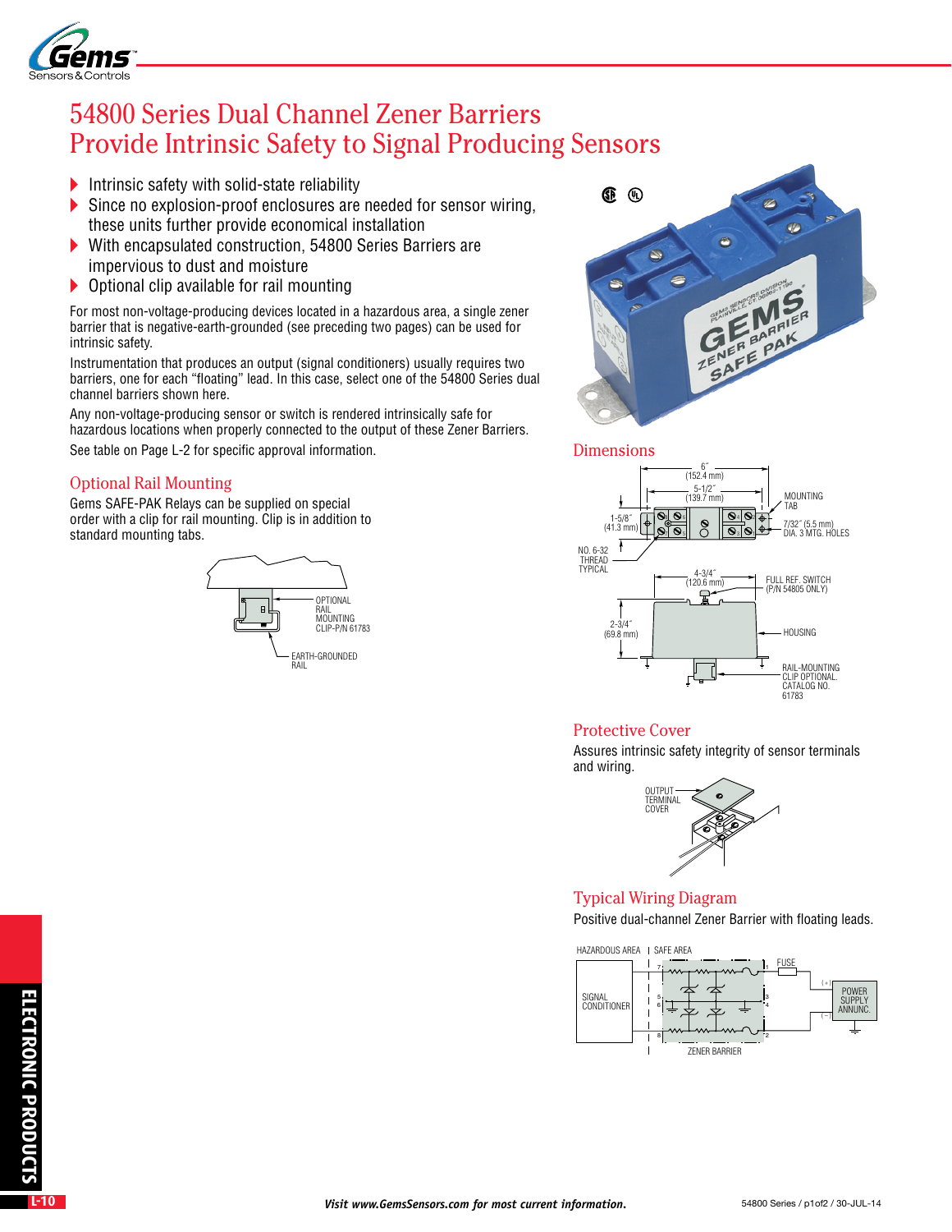

# 54800 Series Dual Channel Zener Barriers Provide Intrinsic Safety to Signal Producing Sensors

- Intrinsic safety with solid-state reliability
- Since no explosion-proof enclosures are needed for sensor wiring, these units further provide economical installation
- With encapsulated construction, 54800 Series Barriers are impervious to dust and moisture
- ▶ Optional clip available for rail mounting

For most non-voltage-producing devices located in a hazardous area, a single zener barrier that is negative-earth-grounded (see preceding two pages) can be used for intrinsic safety.

Instrumentation that produces an output (signal conditioners) usually requires two barriers, one for each "floating" lead. In this case, select one of the 54800 Series dual channel barriers shown here.

Any non-voltage-producing sensor or switch is rendered intrinsically safe for hazardous locations when properly connected to the output of these Zener Barriers. See table on Page L-2 for specific approval information.

## Optional Rail Mounting

Gems SAFE-PAK Relays can be supplied on special order with a clip for rail mounting. Clip is in addition to standard mounting tabs.





#### **Dimensions**



## Protective Cover

Assures intrinsic safety integrity of sensor terminals and wiring.



#### Typical Wiring Diagram

Positive dual-channel Zener Barrier with floating leads.